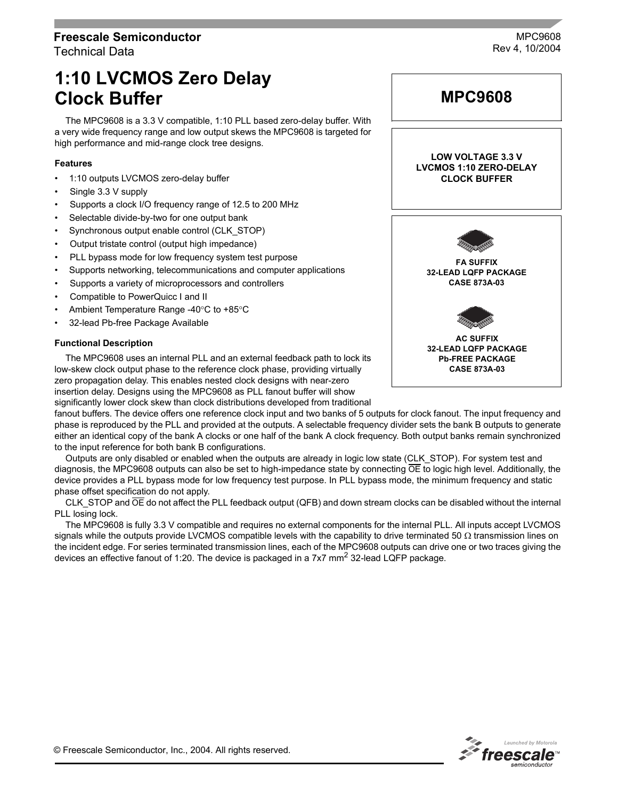# **Freescale Semiconductor** Technical Data

MPC9608 Rev 4, 10/2004

# **1:10 LVCMOS Zero Delay Clock Buffer**

The MPC9608 is a 3.3 V compatible, 1:10 PLL based zero-delay buffer. With a very wide frequency range and low output skews the MPC9608 is targeted for high performance and mid-range clock tree designs.

### **Features**

- 1:10 outputs LVCMOS zero-delay buffer
- Single 3.3 V supply
- Supports a clock I/O frequency range of 12.5 to 200 MHz
- Selectable divide-by-two for one output bank
- Synchronous output enable control (CLK\_STOP)
- Output tristate control (output high impedance)
- PLL bypass mode for low frequency system test purpose
- Supports networking, telecommunications and computer applications
- Supports a variety of microprocessors and controllers
- Compatible to PowerQuicc I and II
- Ambient Temperature Range -40°C to +85°C
- 32-lead Pb-free Package Available

#### **Functional Description**

The MPC9608 uses an internal PLL and an external feedback path to lock its low-skew clock output phase to the reference clock phase, providing virtually zero propagation delay. This enables nested clock designs with near-zero insertion delay. Designs using the MPC9608 as PLL fanout buffer will show

significantly lower clock skew than clock distributions developed from traditional

fanout buffers. The device offers one reference clock input and two banks of 5 outputs for clock fanout. The input frequency and phase is reproduced by the PLL and provided at the outputs. A selectable frequency divider sets the bank B outputs to generate either an identical copy of the bank A clocks or one half of the bank A clock frequency. Both output banks remain synchronized to the input reference for both bank B configurations.

Outputs are only disabled or enabled when the outputs are already in logic low state (CLK\_STOP). For system test and diagnosis, the MPC9608 outputs can also be set to high-impedance state by connecting  $\overline{OE}$  to logic high level. Additionally, the device provides a PLL bypass mode for low frequency test purpose. In PLL bypass mode, the minimum frequency and static phase offset specification do not apply.

CLK STOP and OE do not affect the PLL feedback output (QFB) and down stream clocks can be disabled without the internal PLL losing lock.

The MPC9608 is fully 3.3 V compatible and requires no external components for the internal PLL. All inputs accept LVCMOS signals while the outputs provide LVCMOS compatible levels with the capability to drive terminated 50  $\Omega$  transmission lines on the incident edge. For series terminated transmission lines, each of the MPC9608 outputs can drive one or two traces giving the devices an effective fanout of 1:20. The device is packaged in a 7x7 mm<sup>2</sup> 32-lead LQFP package.



**MPC9608**

**LOW VOLTAGE 3.3 V**

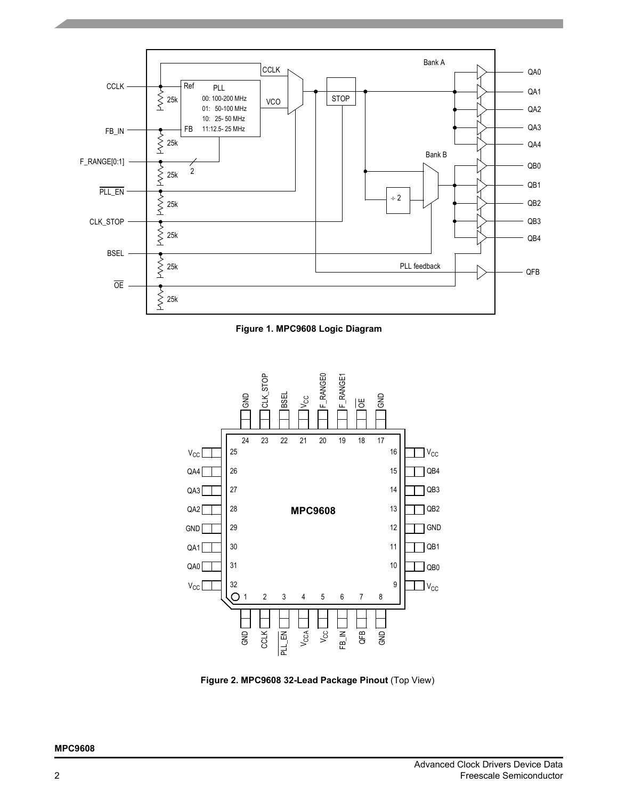

**Figure 1. MPC9608 Logic Diagram**



**Figure 2. MPC9608 32-Lead Package Pinout** (Top View)

#### **MPC9608**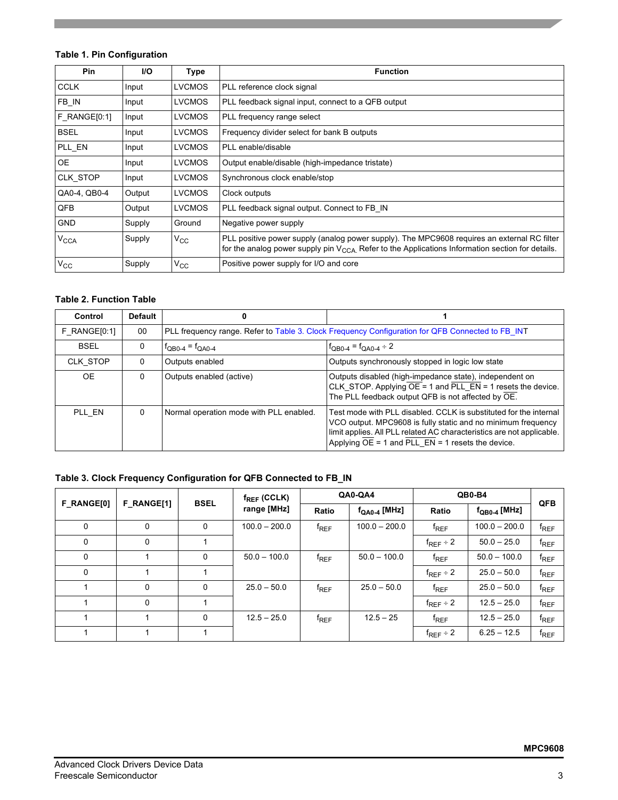# **Table 1. Pin Configuration**

| <b>Pin</b>             | <b>I/O</b> | Type          | <b>Function</b>                                                                                                                                                                                       |
|------------------------|------------|---------------|-------------------------------------------------------------------------------------------------------------------------------------------------------------------------------------------------------|
| <b>CCLK</b>            | Input      | <b>LVCMOS</b> | PLL reference clock signal                                                                                                                                                                            |
| FB_IN                  | Input      | <b>LVCMOS</b> | PLL feedback signal input, connect to a QFB output                                                                                                                                                    |
| F RANGE[0:1]           | Input      | <b>LVCMOS</b> | PLL frequency range select                                                                                                                                                                            |
| <b>BSEL</b>            | Input      | <b>LVCMOS</b> | Frequency divider select for bank B outputs                                                                                                                                                           |
| PLL EN                 | Input      | <b>LVCMOS</b> | PLL enable/disable                                                                                                                                                                                    |
| <b>OE</b>              | Input      | <b>LVCMOS</b> | Output enable/disable (high-impedance tristate)                                                                                                                                                       |
| CLK_STOP               | Input      | <b>LVCMOS</b> | Synchronous clock enable/stop                                                                                                                                                                         |
| QA0-4, QB0-4           | Output     | <b>LVCMOS</b> | Clock outputs                                                                                                                                                                                         |
| QFB                    | Output     | <b>LVCMOS</b> | PLL feedback signal output. Connect to FB IN                                                                                                                                                          |
| <b>GND</b>             | Supply     | Ground        | Negative power supply                                                                                                                                                                                 |
| <b>V<sub>CCA</sub></b> | Supply     | $\rm v_{cc}$  | PLL positive power supply (analog power supply). The MPC9608 requires an external RC filter<br>for the analog power supply pin $V_{CCA}$ . Refer to the Applications Information section for details. |
| $V_{\rm CC}$           | Supply     | $\rm v_{cc}$  | Positive power supply for I/O and core                                                                                                                                                                |

#### **Table 2. Function Table**

| Control        | <b>Default</b> | 0                                       |                                                                                                                                                                                                                                                                                            |
|----------------|----------------|-----------------------------------------|--------------------------------------------------------------------------------------------------------------------------------------------------------------------------------------------------------------------------------------------------------------------------------------------|
| $F$ RANGE[0:1] | 00             |                                         | PLL frequency range. Refer to Table 3. Clock Frequency Configuration for QFB Connected to FB INT                                                                                                                                                                                           |
| <b>BSEL</b>    | $\Omega$       | $f_{QBO-4} = f_{QAO-4}$                 | $f_{QBO-4} = f_{QAO-4} \div 2$                                                                                                                                                                                                                                                             |
| CLK STOP       | $\Omega$       | Outputs enabled                         | Outputs synchronously stopped in logic low state                                                                                                                                                                                                                                           |
| OE.            | 0              | Outputs enabled (active)                | Outputs disabled (high-impedance state), independent on<br>CLK_STOP. Applying $\overline{OE} = 1$ and $\overline{PLL\_EN} = 1$ resets the device.<br>The PLL feedback output QFB is not affected by OE.                                                                                    |
| PLL EN         | 0              | Normal operation mode with PLL enabled. | Test mode with PLL disabled. CCLK is substituted for the internal<br>VCO output. MPC9608 is fully static and no minimum frequency<br>limit applies. All PLL related AC characteristics are not applicable.<br>Applying $\overline{OE} = 1$ and $\overline{PLL\_EN} = 1$ resets the device. |

# <span id="page-2-0"></span>**Table 3. Clock Frequency Configuration for QFB Connected to FB\_IN**

| <b>BSEL</b><br>F RANGE[1]<br>F RANGE[0] |   |   | $f_{REF}$ (CCLK) | QA0-QA4   |                   | QB0-B4           | <b>QFB</b>               |           |
|-----------------------------------------|---|---|------------------|-----------|-------------------|------------------|--------------------------|-----------|
|                                         |   |   | range [MHz]      | Ratio     | $f_{QA0-4}$ [MHz] | Ratio            | $f_{\text{QB0-4}}$ [MHz] |           |
| 0                                       | 0 | 0 | $100.0 - 200.0$  | $f_{REF}$ | $100.0 - 200.0$   | $f_{REF}$        | $100.0 - 200.0$          | $f_{REF}$ |
| 0                                       | 0 |   |                  |           |                   | $f_{REF}$ ÷ 2    | $50.0 - 25.0$            | $f_{REF}$ |
| 0                                       |   | 0 | $50.0 - 100.0$   | $f_{REF}$ | $50.0 - 100.0$    | $f_{REF}$        | $50.0 - 100.0$           | $f_{REF}$ |
| 0                                       |   |   |                  |           |                   | $f_{REF} \div 2$ | $25.0 - 50.0$            | $f_{REF}$ |
|                                         | 0 | 0 | $25.0 - 50.0$    | $f_{REF}$ | $25.0 - 50.0$     | $f_{REF}$        | $25.0 - 50.0$            | $f_{REF}$ |
|                                         | 0 |   |                  |           |                   | $f_{REF} \div 2$ | $12.5 - 25.0$            | $f_{REF}$ |
|                                         |   | 0 | $12.5 - 25.0$    | $f_{REF}$ | $12.5 - 25$       | $f_{REF}$        | $12.5 - 25.0$            | $f_{REF}$ |
|                                         |   |   |                  |           |                   | $f_{REF}$ ÷ 2    | $6.25 - 12.5$            | $f_{REF}$ |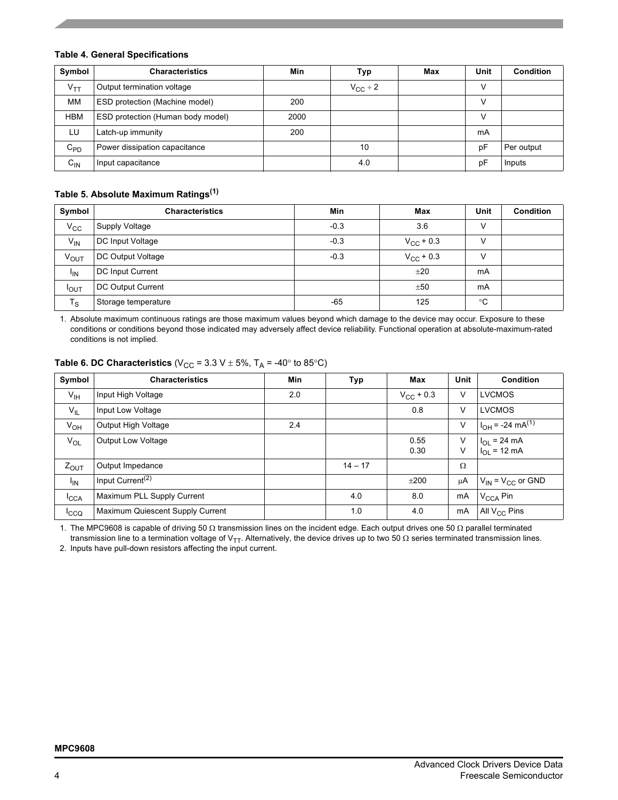#### **Table 4. General Specifications**

| Symbol     | <b>Characteristics</b>                | Min  | Тур                 | Max | Unit | Condition  |
|------------|---------------------------------------|------|---------------------|-----|------|------------|
| $V_{TT}$   | Output termination voltage            |      | $V_{\text{CC}}$ ÷ 2 |     |      |            |
| MМ         | <b>ESD protection (Machine model)</b> | 200  |                     |     |      |            |
| <b>HBM</b> | ESD protection (Human body model)     | 2000 |                     |     |      |            |
| LU         | Latch-up immunity                     | 200  |                     |     | mA   |            |
| $C_{PD}$   | Power dissipation capacitance         |      | 10                  |     | рF   | Per output |
| $C_{IN}$   | Input capacitance                     |      | 4.0                 |     | рF   | Inputs     |

# **Table 5. Absolute Maximum Ratings(1)**

| Symbol       | <b>Characteristics</b> | Min    | Max                | Unit        | <b>Condition</b> |
|--------------|------------------------|--------|--------------------|-------------|------------------|
| $V_{\rm CC}$ | Supply Voltage         | $-0.3$ | 3.6                |             |                  |
| $V_{IN}$     | DC Input Voltage       | $-0.3$ | $V_{\rm CC}$ + 0.3 |             |                  |
| VOUT         | DC Output Voltage      | $-0.3$ | $V_{\rm CC}$ + 0.3 |             |                  |
| $I_{IN}$     | DC Input Current       |        | ±20                | mA          |                  |
| $I_{OUT}$    | DC Output Current      |        | ±50                | mA          |                  |
| $T_S$        | Storage temperature    | $-65$  | 125                | $^{\circ}C$ |                  |

1. Absolute maximum continuous ratings are those maximum values beyond which damage to the device may occur. Exposure to these conditions or conditions beyond those indicated may adversely affect device reliability. Functional operation at absolute-maximum-rated conditions is not implied.

| Symbol           | <b>Characteristics</b>           | <b>Min</b> | Typ       | Max            | <b>Unit</b> | <b>Condition</b>                     |
|------------------|----------------------------------|------------|-----------|----------------|-------------|--------------------------------------|
| $V_{\text{IH}}$  | Input High Voltage               | 2.0        |           | $V_{CC}$ + 0.3 | V           | <b>LVCMOS</b>                        |
| $V_{IL}$         | Input Low Voltage                |            |           | 0.8            | V           | <b>LVCMOS</b>                        |
| $V_{OH}$         | Output High Voltage              | 2.4        |           |                | V           | $I_{OH}$ = -24 mA <sup>(1)</sup>     |
| $V_{OL}$         | Output Low Voltage               |            |           | 0.55<br>0.30   | v<br>٧      | $I_{OL}$ = 24 mA<br>$I_{OL}$ = 12 mA |
| $Z_{\text{OUT}}$ | Output Impedance                 |            | $14 - 17$ |                | Ω           |                                      |
| $I_{IN}$         | Input Current <sup>(2)</sup>     |            |           | ±200           | μA          | $V_{IN}$ = $V_{CC}$ or GND           |
| ICCA             | Maximum PLL Supply Current       |            | 4.0       | 8.0            | mA          | V <sub>CCA</sub> Pin                 |
| Icco             | Maximum Quiescent Supply Current |            | 1.0       | 4.0            | mA          | All V <sub>CC</sub> Pins             |

# **Table 6. DC Characteristics** (V<sub>CC</sub> = 3.3 V  $\pm$  5%, T<sub>A</sub> = -40° to 85°C)

1. The MPC9608 is capable of driving 50 Ω transmission lines on the incident edge. Each output drives one 50 Ω parallel terminated transmission line to a termination voltage of V<sub>TT</sub>. Alternatively, the device drives up to two 50 Ω series terminated transmission lines.

2. Inputs have pull-down resistors affecting the input current.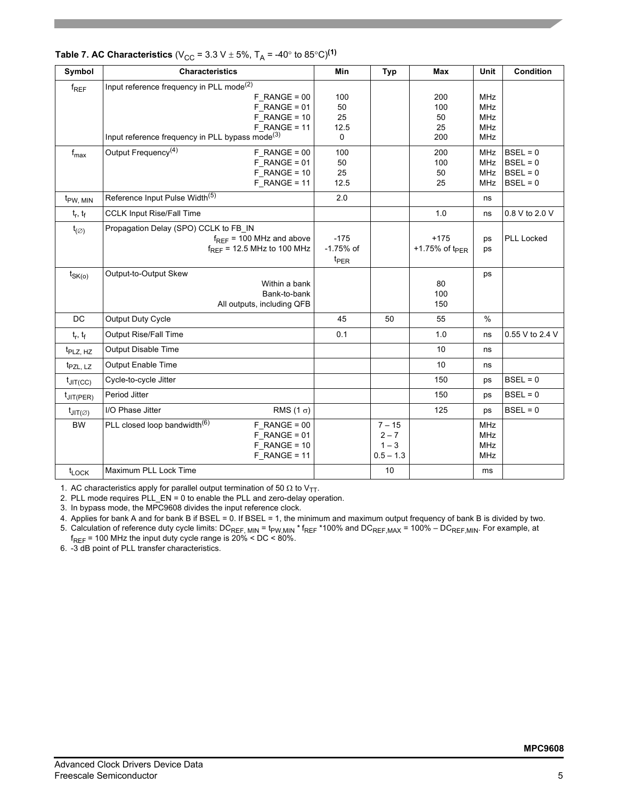| Symbol                        | <b>Characteristics</b>                                                                                                                                                                      | <b>Min</b>                       | <b>Typ</b>                                    | Max                           | Unit                                                               | <b>Condition</b>                                     |
|-------------------------------|---------------------------------------------------------------------------------------------------------------------------------------------------------------------------------------------|----------------------------------|-----------------------------------------------|-------------------------------|--------------------------------------------------------------------|------------------------------------------------------|
| $f_{REF}$                     | Input reference frequency in PLL mode <sup>(2)</sup><br>$F$ RANGE = 00<br>$F$ RANGE = 01<br>$F$ RANGE = 10<br>$F$ RANGE = 11<br>Input reference frequency in PLL bypass mode <sup>(3)</sup> | 100<br>50<br>25<br>12.5<br>0     |                                               | 200<br>100<br>50<br>25<br>200 | <b>MHz</b><br><b>MHz</b><br><b>MHz</b><br><b>MHz</b><br><b>MHz</b> |                                                      |
| $f_{\text{max}}$              | Output Frequency <sup>(4)</sup><br>$F_R$ ANGE = 00<br>$F$ RANGE = 01<br>$F$ RANGE = 10<br>$F$ RANGE = 11                                                                                    | 100<br>50<br>25<br>12.5          |                                               | 200<br>100<br>50<br>25        | <b>MHz</b><br><b>MHz</b><br><b>MHz</b><br><b>MHz</b>               | $BSEL = 0$<br>$BSEL = 0$<br>$BSEL = 0$<br>$BSEL = 0$ |
| $t_{PW, MIN}$                 | Reference Input Pulse Width <sup>(5)</sup>                                                                                                                                                  | 2.0                              |                                               |                               | ns                                                                 |                                                      |
| $t_r$ , $t_f$                 | <b>CCLK Input Rise/Fall Time</b>                                                                                                                                                            |                                  |                                               | 1.0                           | ns                                                                 | 0.8 V to 2.0 V                                       |
| $t_{(\varnothing)}$           | Propagation Delay (SPO) CCLK to FB_IN<br>$f_{REF}$ = 100 MHz and above<br>$f_{RFF}$ = 12.5 MHz to 100 MHz                                                                                   | $-175$<br>-1.75% of<br>$t_{PER}$ |                                               | $+175$<br>+1.75% of $tp_{ER}$ | ps<br>ps                                                           | <b>PLL Locked</b>                                    |
| $t_{SK(o)}$                   | Output-to-Output Skew<br>Within a bank<br>Bank-to-bank<br>All outputs, including QFB                                                                                                        |                                  |                                               | 80<br>100<br>150              | ps                                                                 |                                                      |
| <b>DC</b>                     | Output Duty Cycle                                                                                                                                                                           | 45                               | 50                                            | 55                            | $\frac{0}{0}$                                                      |                                                      |
| $t_r, t_f$                    | Output Rise/Fall Time                                                                                                                                                                       | 0.1                              |                                               | 1.0                           | ns                                                                 | 0.55 V to 2.4 V                                      |
| t <sub>PLZ, HZ</sub>          | Output Disable Time                                                                                                                                                                         |                                  |                                               | 10                            | ns                                                                 |                                                      |
| t <sub>PZL, LZ</sub>          | <b>Output Enable Time</b>                                                                                                                                                                   |                                  |                                               | 10                            | ns                                                                 |                                                      |
| $t_{\text{JIT(CC)}}$          | Cycle-to-cycle Jitter                                                                                                                                                                       |                                  |                                               | 150                           | ps                                                                 | $BSEL = 0$                                           |
| $t_{\text{JIT(PER)}}$         | Period Jitter                                                                                                                                                                               |                                  |                                               | 150                           | ps                                                                 | $BSEL = 0$                                           |
| $t_{\text{JIT}(\varnothing)}$ | I/O Phase Jitter<br>RMS $(1 \sigma)$                                                                                                                                                        |                                  |                                               | 125                           | ps                                                                 | $BSEL = 0$                                           |
| <b>BW</b>                     | PLL closed loop bandwidth <sup>(6)</sup><br>$F$ RANGE = 00<br>$F_R$ ANGE = 01<br>$F$ RANGE = 10<br>$F$ RANGE = 11                                                                           |                                  | $7 - 15$<br>$2 - 7$<br>$1 - 3$<br>$0.5 - 1.3$ |                               | <b>MHz</b><br><b>MHz</b><br>MHz<br><b>MHz</b>                      |                                                      |
| $t_{\text{LOCK}}$             | Maximum PLL Lock Time                                                                                                                                                                       |                                  | 10                                            |                               | ms                                                                 |                                                      |

# **Table 7. AC Characteristics** ( $V_{CC}$  = 3.3 V  $\pm$  5%, T<sub>A</sub> = -40° to 85°C)<sup>(1)</sup>

1. AC characteristics apply for parallel output termination of 50  $\Omega$  to V<sub>TT</sub>.

2. PLL mode requires PLL\_EN = 0 to enable the PLL and zero-delay operation.

3. In bypass mode, the MPC9608 divides the input reference clock.

4. Applies for bank A and for bank B if BSEL = 0. If BSEL = 1, the minimum and maximum output frequency of bank B is divided by two.

5. Calculation of reference duty cycle limits: DC<sub>REF, MIN</sub> = t<sub>PW,MIN</sub> \* f<sub>REF</sub> \*100% and DC<sub>REF,MAX</sub> = 100% – DC<sub>REF,MIN</sub>. For example, at  $f_{\sf{REF}}$  = 100 MHz the input duty cycle range is 20% < DC < 80%.

6. -3 dB point of PLL transfer characteristics.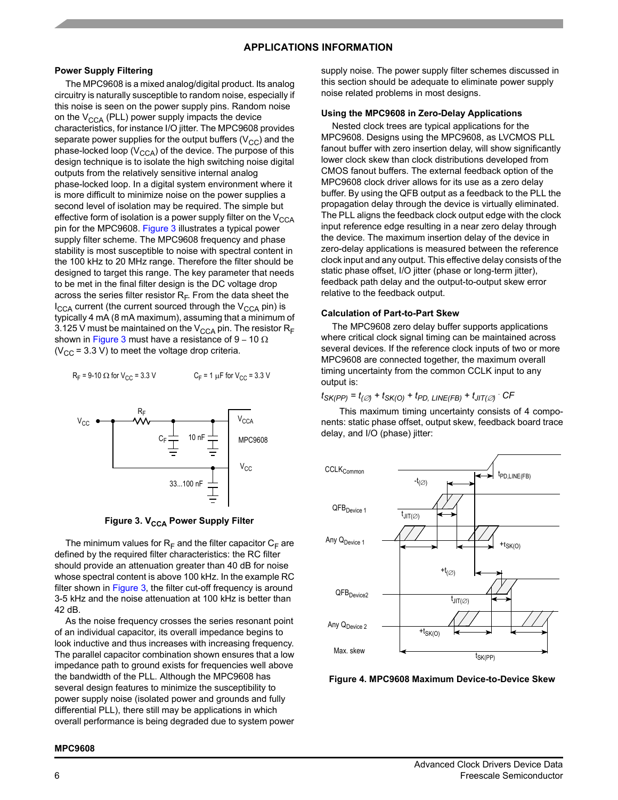#### **APPLICATIONS INFORMATION**

#### **Power Supply Filtering**

The MPC9608 is a mixed analog/digital product. Its analog circuitry is naturally susceptible to random noise, especially if this noise is seen on the power supply pins. Random noise on the  $V_{CCA}$  (PLL) power supply impacts the device characteristics, for instance I/O jitter. The MPC9608 provides separate power supplies for the output buffers  $(V_{CC})$  and the phase-locked loop ( $V_{\text{CCA}}$ ) of the device. The purpose of this design technique is to isolate the high switching noise digital outputs from the relatively sensitive internal analog phase-locked loop. In a digital system environment where it is more difficult to minimize noise on the power supplies a second level of isolation may be required. The simple but effective form of isolation is a power supply filter on the  $V_{\text{CCA}}$ pin for the MPC9608. [Figure 3](#page-5-0) illustrates a typical power supply filter scheme. The MPC9608 frequency and phase stability is most susceptible to noise with spectral content in the 100 kHz to 20 MHz range. Therefore the filter should be designed to target this range. The key parameter that needs to be met in the final filter design is the DC voltage drop across the series filter resistor  $R_F$ . From the data sheet the  $I_{\text{CCA}}$  current (the current sourced through the  $V_{\text{CCA}}$  pin) is typically 4 mA (8 mA maximum), assuming that a minimum of 3.125 V must be maintained on the  $V_{\text{CCA}}$  pin. The resistor R<sub>F</sub> shown in [Figure 3](#page-5-0) must have a resistance of 9 – 10  $\Omega$ ( $V_{\text{CC}}$  = 3.3 V) to meet the voltage drop criteria.

 $R_F$  = 9-10  $\Omega$  for V<sub>CC</sub> = 3.3 V  $C_F = 1 \mu F$  for  $V_{CC} = 3.3 V$ 



**Figure 3. V<sub>CCA</sub> Power Supply Filter** 

<span id="page-5-0"></span>The minimum values for  $R_F$  and the filter capacitor  $C_F$  are defined by the required filter characteristics: the RC filter should provide an attenuation greater than 40 dB for noise whose spectral content is above 100 kHz. In the example RC filter shown in [Figure 3](#page-5-0), the filter cut-off frequency is around 3-5 kHz and the noise attenuation at 100 kHz is better than 42 dB.

As the noise frequency crosses the series resonant point of an individual capacitor, its overall impedance begins to look inductive and thus increases with increasing frequency. The parallel capacitor combination shown ensures that a low impedance path to ground exists for frequencies well above the bandwidth of the PLL. Although the MPC9608 has several design features to minimize the susceptibility to power supply noise (isolated power and grounds and fully differential PLL), there still may be applications in which overall performance is being degraded due to system power

supply noise. The power supply filter schemes discussed in this section should be adequate to eliminate power supply noise related problems in most designs.

#### **Using the MPC9608 in Zero-Delay Applications**

Nested clock trees are typical applications for the MPC9608. Designs using the MPC9608, as LVCMOS PLL fanout buffer with zero insertion delay, will show significantly lower clock skew than clock distributions developed from CMOS fanout buffers. The external feedback option of the MPC9608 clock driver allows for its use as a zero delay buffer. By using the QFB output as a feedback to the PLL the propagation delay through the device is virtually eliminated. The PLL aligns the feedback clock output edge with the clock input reference edge resulting in a near zero delay through the device. The maximum insertion delay of the device in zero-delay applications is measured between the reference clock input and any output. This effective delay consists of the static phase offset, I/O jitter (phase or long-term jitter), feedback path delay and the output-to-output skew error relative to the feedback output.

#### **Calculation of Part-to-Part Skew**

The MPC9608 zero delay buffer supports applications where critical clock signal timing can be maintained across several devices. If the reference clock inputs of two or more MPC9608 are connected together, the maximum overall timing uncertainty from the common CCLK input to any output is:

#### *tSK(PP) = t(*∅*) + tSK(O) + tPD, LINE(FB) + tJIT(*∅*)* . *CF*

This maximum timing uncertainty consists of 4 components: static phase offset, output skew, feedback board trace delay, and I/O (phase) jitter:



**Figure 4. MPC9608 Maximum Device-to-Device Skew**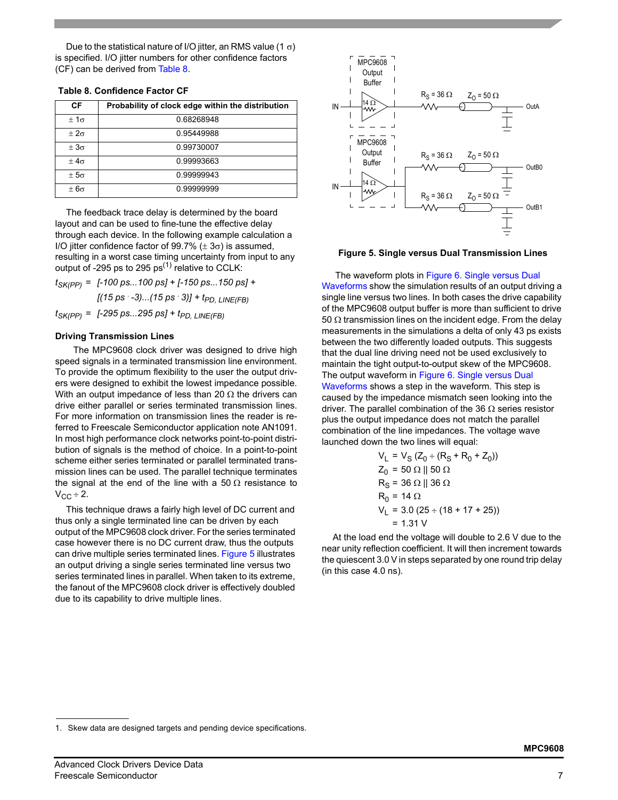Due to the statistical nature of I/O jitter, an RMS value (1  $\sigma$ ) is specified. I/O jitter numbers for other confidence factors (CF) can be derived from [Table 8](#page-6-0).

<span id="page-6-0"></span>

|  |  | <b>Table 8. Confidence Factor CF</b> |  |  |
|--|--|--------------------------------------|--|--|
|--|--|--------------------------------------|--|--|

| СF            | Probability of clock edge within the distribution |
|---------------|---------------------------------------------------|
| $+1\sigma$    | 0.68268948                                        |
| $+2\sigma$    | 0.95449988                                        |
| $+3\sigma$    | 0.99730007                                        |
| $+4\sigma$    | 0.99993663                                        |
| $\pm 5\sigma$ | 0.99999943                                        |
| $+6\sigma$    | 0.99999999                                        |

The feedback trace delay is determined by the board layout and can be used to fine-tune the effective delay through each device. In the following example calculation a I/O iitter confidence factor of 99.7% ( $\pm$  3 $\sigma$ ) is assumed. resulting in a worst case timing uncertainty from input to any output of -295 ps to 295 ps<sup>(1)</sup> relative to CCLK:

*tSK(PP) = [-100 ps...100 ps] + [-150 ps...150 ps] +*  $[(15 \text{ ps } -3)...(15 \text{ ps } 3)] + t_{PD}$  *LINE(FB)*  $t_{SK(PP)} =$   $[-295 \text{ ps}... 295 \text{ ps}] + t_{PD}$ , LINE(FB)

#### **Driving Transmission Lines**

The MPC9608 clock driver was designed to drive high speed signals in a terminated transmission line environment. To provide the optimum flexibility to the user the output drivers were designed to exhibit the lowest impedance possible. With an output impedance of less than 20  $\Omega$  the drivers can drive either parallel or series terminated transmission lines. For more information on transmission lines the reader is referred to Freescale Semiconductor application note AN1091. In most high performance clock networks point-to-point distribution of signals is the method of choice. In a point-to-point scheme either series terminated or parallel terminated transmission lines can be used. The parallel technique terminates the signal at the end of the line with a 50  $\Omega$  resistance to  $V_{CC} \div 2$ .

This technique draws a fairly high level of DC current and thus only a single terminated line can be driven by each output of the MPC9608 clock driver. For the series terminated case however there is no DC current draw, thus the outputs can drive multiple series terminated lines. [Figure 5](#page-6-1) illustrates an output driving a single series terminated line versus two series terminated lines in parallel. When taken to its extreme, the fanout of the MPC9608 clock driver is effectively doubled due to its capability to drive multiple lines.



<span id="page-6-1"></span>

 The waveform plots in Figure 6. Single versus Dual Waveforms show the simulation results of an output driving a single line versus two lines. In both cases the drive capability of the MPC9608 output buffer is more than sufficient to drive 50  $\Omega$  transmission lines on the incident edge. From the delay measurements in the simulations a delta of only 43 ps exists between the two differently loaded outputs. This suggests that the dual line driving need not be used exclusively to maintain the tight output-to-output skew of the MPC9608. The output waveform in Figure 6. Single versus Dual Waveforms shows a step in the waveform. This step is caused by the impedance mismatch seen looking into the driver. The parallel combination of the 36  $\Omega$  series resistor plus the output impedance does not match the parallel combination of the line impedances. The voltage wave launched down the two lines will equal:

$$
VL = VS (Z0 ÷ (RS + R0 + Z0))
$$
  
Z<sub>0</sub> = 50 Ω || 50 Ω  
R<sub>S</sub> = 36 Ω || 36 Ω  
R<sub>0</sub> = 14 Ω  
V<sub>L</sub> = 3.0 (25 ÷ (18 + 17 + 25))  
= 1.31 V

At the load end the voltage will double to 2.6 V due to the near unity reflection coefficient. It will then increment towards the quiescent 3.0 V in steps separated by one round trip delay (in this case 4.0 ns).

<sup>1.</sup> Skew data are designed targets and pending device specifications.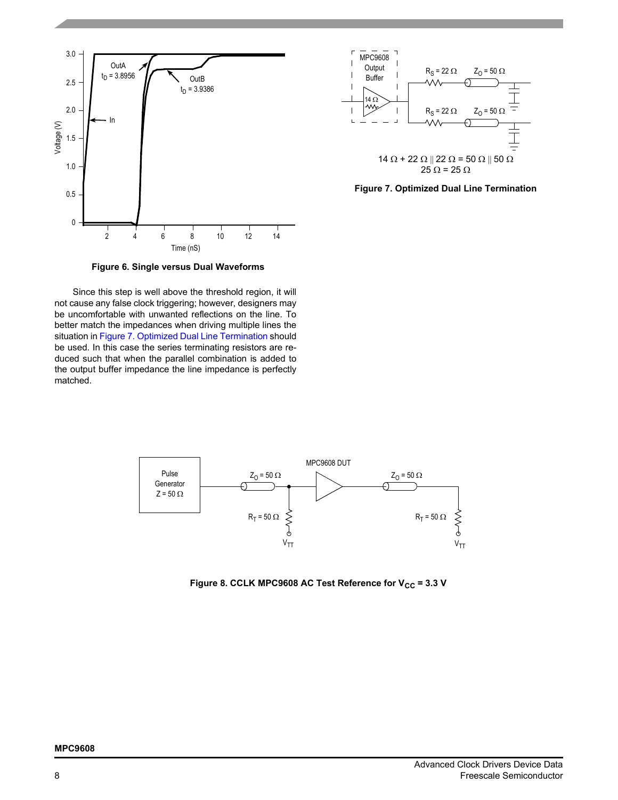



**Figure 7. Optimized Dual Line Termination**

Since this step is well above the threshold region, it will not cause any false clock triggering; however, designers may be uncomfortable with unwanted reflections on the line. To better match the impedances when driving multiple lines the situation in Figure 7. Optimized Dual Line Termination should be used. In this case the series terminating resistors are reduced such that when the parallel combination is added to the output buffer impedance the line impedance is perfectly matched.



Figure 8. CCLK MPC9608 AC Test Reference for V<sub>CC</sub> = 3.3 V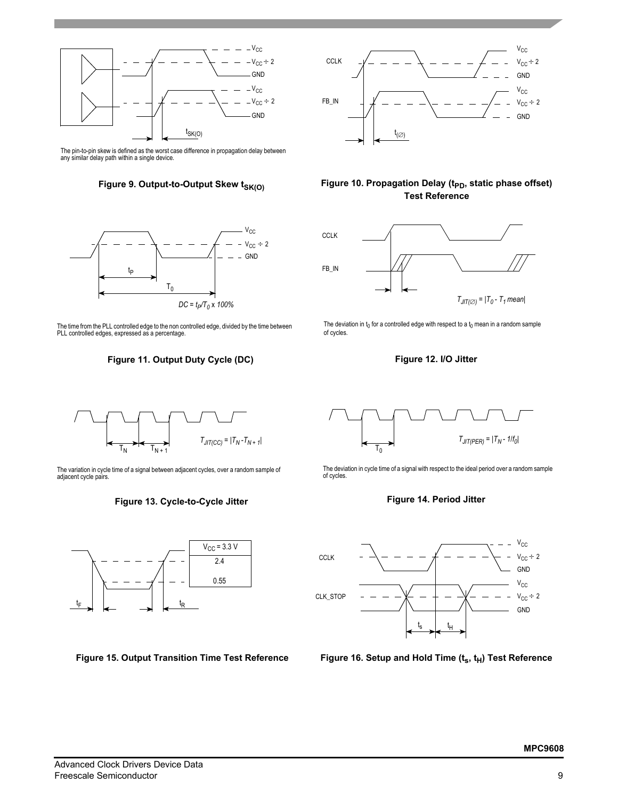

The pin-to-pin skew is defined as the worst case difference in propagation delay between any similar delay path within a single device.





The time from the PLL controlled edge to the non controlled edge, divided by the time between PLL controlled edges, expressed as a percentage.

## **Figure 11. Output Duty Cycle (DC) Figure 12. I/O Jitter**



The variation in cycle time of a signal between adjacent cycles, over a random sample of adjacent cycle pairs.

#### **Figure 13. Cycle-to-Cycle Jitter**



**Figure 15. Output Transition Time Test Reference**



### Figure 10. Propagation Delay (t<sub>PD</sub>, static phase offset) **Test Reference**



The deviation in  $t_0$  for a controlled edge with respect to a  $t_0$  mean in a random sample of cycles.



The deviation in cycle time of a signal with respect to the ideal period over a random sample of cycles.

### **Figure 14. Period Jitter**



Figure 16. Setup and Hold Time (t<sub>s</sub>, t<sub>H</sub>) Test Reference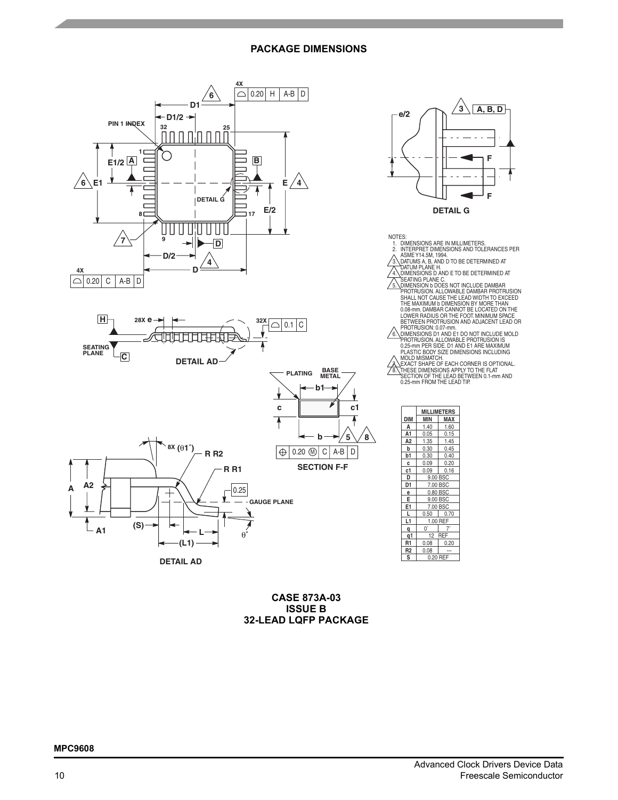#### **PACKAGE DIMENSIONS**





|                | VIILLIMEIEKS |          |  |
|----------------|--------------|----------|--|
| <b>DIM</b>     | <b>MIN</b>   | MAX      |  |
| Α              | 1.40         | 1.60     |  |
| A <sub>1</sub> | 0.05         | 0.15     |  |
| А2             | 1.35         | 1.45     |  |
| b              | 0.30         | 0.45     |  |
| b1             | 0.30         | 0.40     |  |
| c              | 0.09         | 0.20     |  |
| c1             | 0.09         | 0.16     |  |
| D              | 9.00 BSC     |          |  |
| D1             | 7.00 BSC     |          |  |
| е              | 0.80 BSC     |          |  |
| E              |              | 9.00 BSC |  |
| E1             | 7.00 BSC     |          |  |
| L              | 0.50         | 0.70     |  |
| L1             |              | 1.00 REF |  |
| q              | $0^{\circ}$  |          |  |
| q1             | 12 REF       |          |  |
| R <sub>1</sub> | 0.08         | 0.20     |  |
| R <sub>2</sub> | 0.08         |          |  |
| S              |              | 0.20 REF |  |

**CASE 873A-03 ISSUE B 32-LEAD LQFP PACKAGE**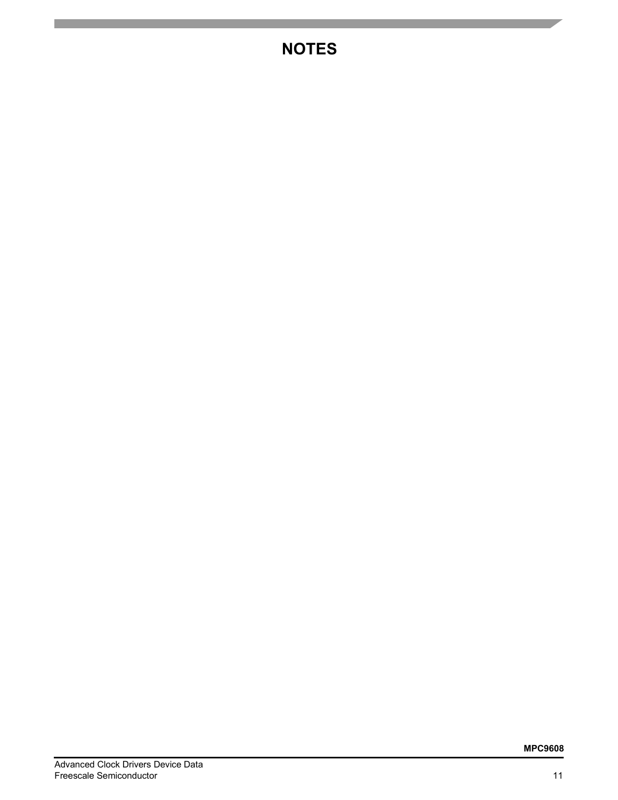# **NOTES**